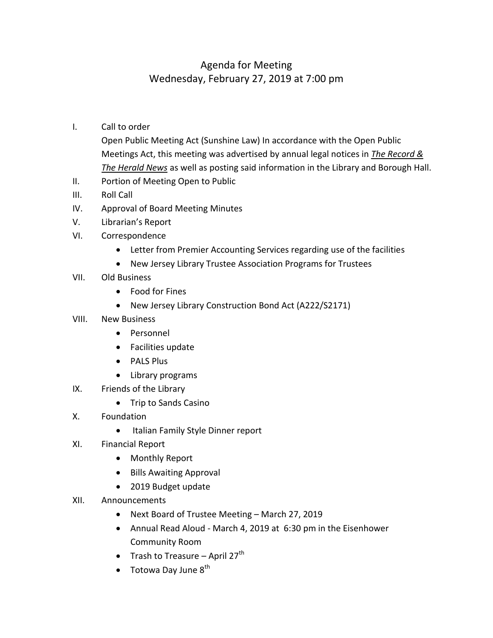## Agenda for Meeting Wednesday, February 27, 2019 at 7:00 pm

- I. Call to order
	- Open Public Meeting Act (Sunshine Law) In accordance with the Open Public Meetings Act, this meeting was advertised by annual legal notices in *The Record & The Herald News* as well as posting said information in the Library and Borough Hall.
- II. Portion of Meeting Open to Public
- III. Roll Call
- IV. Approval of Board Meeting Minutes
- V. Librarian's Report
- VI. Correspondence
	- Letter from Premier Accounting Services regarding use of the facilities
	- New Jersey Library Trustee Association Programs for Trustees
- VII. Old Business
	- Food for Fines
	- New Jersey Library Construction Bond Act (A222/S2171)
- VIII. New Business
	- Personnel
	- Facilities update
	- PALS Plus
	- Library programs
- IX. Friends of the Library
	- Trip to Sands Casino
- X. Foundation
	- Italian Family Style Dinner report
- XI. Financial Report
	- Monthly Report
	- Bills Awaiting Approval
	- 2019 Budget update
- XII. Announcements
	- Next Board of Trustee Meeting March 27, 2019
	- Annual Read Aloud March 4, 2019 at 6:30 pm in the Eisenhower Community Room
	- Trash to Treasure April 27<sup>th</sup>
	- $\bullet$  Totowa Day June  $8^{th}$